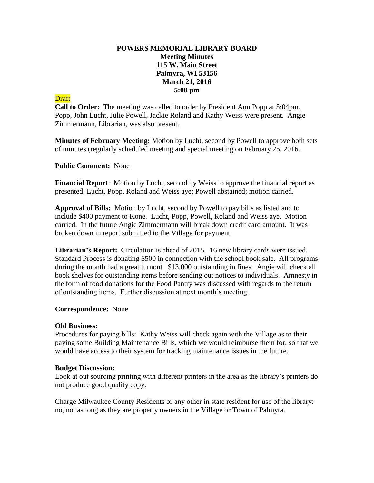# **POWERS MEMORIAL LIBRARY BOARD Meeting Minutes 115 W. Main Street Palmyra, WI 53156 March 21, 2016 5:00 pm**

# **Draft**

**Call to Order:** The meeting was called to order by President Ann Popp at 5:04pm. Popp, John Lucht, Julie Powell, Jackie Roland and Kathy Weiss were present. Angie Zimmermann, Librarian, was also present.

**Minutes of February Meeting:** Motion by Lucht, second by Powell to approve both sets of minutes (regularly scheduled meeting and special meeting on February 25, 2016.

### **Public Comment:** None

**Financial Report**: Motion by Lucht, second by Weiss to approve the financial report as presented. Lucht, Popp, Roland and Weiss aye; Powell abstained; motion carried.

**Approval of Bills:** Motion by Lucht, second by Powell to pay bills as listed and to include \$400 payment to Kone. Lucht, Popp, Powell, Roland and Weiss aye. Motion carried. In the future Angie Zimmermann will break down credit card amount. It was broken down in report submitted to the Village for payment.

**Librarian's Report:** Circulation is ahead of 2015. 16 new library cards were issued. Standard Process is donating \$500 in connection with the school book sale. All programs during the month had a great turnout. \$13,000 outstanding in fines. Angie will check all book shelves for outstanding items before sending out notices to individuals. Amnesty in the form of food donations for the Food Pantry was discussed with regards to the return of outstanding items. Further discussion at next month's meeting.

### **Correspondence:** None

### **Old Business:**

Procedures for paying bills: Kathy Weiss will check again with the Village as to their paying some Building Maintenance Bills, which we would reimburse them for, so that we would have access to their system for tracking maintenance issues in the future.

### **Budget Discussion:**

Look at out sourcing printing with different printers in the area as the library's printers do not produce good quality copy.

Charge Milwaukee County Residents or any other in state resident for use of the library: no, not as long as they are property owners in the Village or Town of Palmyra.